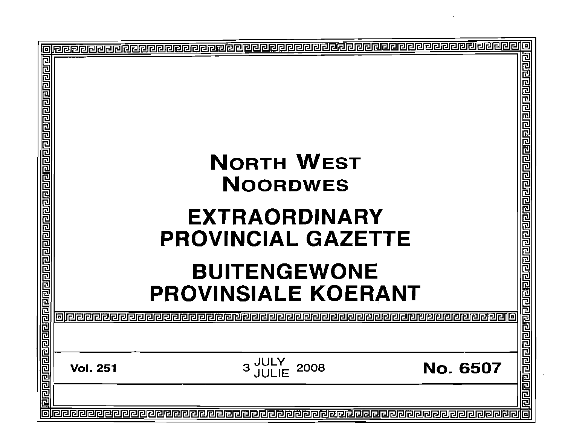| 回 | <b>NORTH WEST</b><br><b>NOORDWES</b>                                                                   |                                    |          |                                                                                               |  |
|---|--------------------------------------------------------------------------------------------------------|------------------------------------|----------|-----------------------------------------------------------------------------------------------|--|
|   | <b>EXTRAORDINARY</b><br><b>PROVINCIAL GAZETTE</b><br><b>BUITENGEWONE</b><br><b>PROVINSIALE KOERANT</b> |                                    |          |                                                                                               |  |
|   |                                                                                                        |                                    |          | <u> बोवागवान प्रवाण नवान पर संस्थान का संस्थान का नवान का पान का जान का बाह्य का प्रवाण प</u> |  |
|   | <b>Vol. 251</b>                                                                                        | <b>JULY<br/>JULIE</b><br>3<br>2008 | No. 6507 |                                                                                               |  |
| r |                                                                                                        |                                    |          |                                                                                               |  |
|   |                                                                                                        |                                    |          |                                                                                               |  |
|   |                                                                                                        |                                    |          |                                                                                               |  |
|   |                                                                                                        |                                    |          |                                                                                               |  |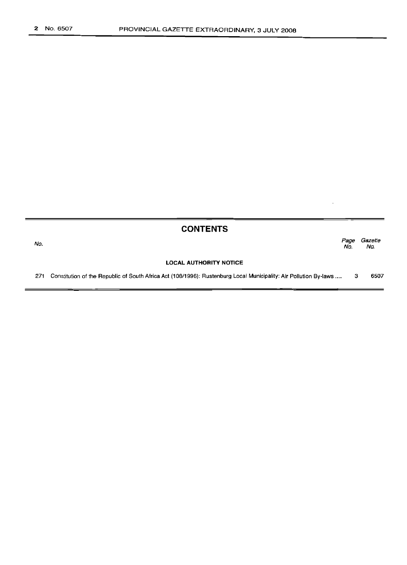$=$ 

|     | <b>CONTENTS</b>                                                                                                   |             |                |
|-----|-------------------------------------------------------------------------------------------------------------------|-------------|----------------|
| No. |                                                                                                                   | Page<br>No. | Gazette<br>No. |
|     | <b>LOCAL AUTHORITY NOTICE</b>                                                                                     |             |                |
| 271 | Constitution of the Republic of South Africa Act (108/1996): Rustenburg Local Municipality: Air Pollution By-laws |             | 6507           |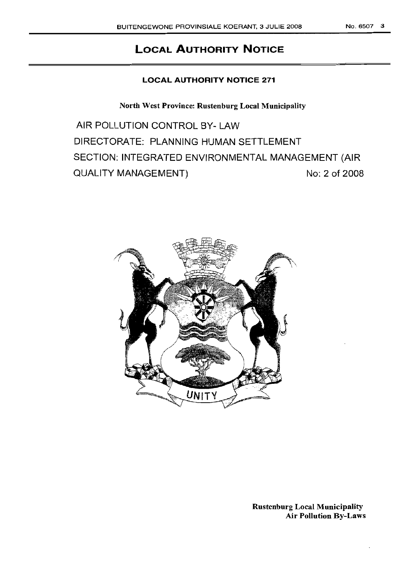# **LOCAL AUTHORITY NOTICE**

# **LOCAL AUTHORITY NOTICE 271**

North West Province: Rustenburg Local Municipality

AIR POLLUTION CONTROL BY- LAW DIRECTORATE: PLANNING HUMAN SETTLEMENT SECTION: INTEGRATED ENVIRONMENTAL MANAGEMENT (AIR QUALITY MANAGEMENT) No: 2 of 2008

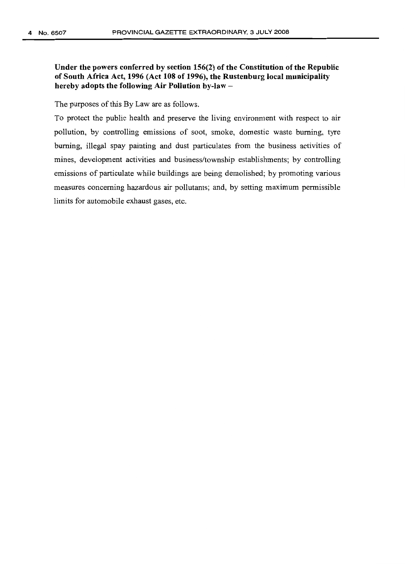Under the powers conferred by section 156(2) of the Constitution of the Republic of South Africa Act, 1996 (Act 108 of 1996), the Rustenburg local municipality hereby adopts the following Air Pollution by-law  $-$ 

The purposes of this By Law are as follows.

To protect the public health and preserve the living environment with respect to air pollution, by controlling emissions of soot, smoke, domestic waste burning, tyre burning, illegal spay painting and dust particulates from the business activities of mines, development activities and business/township establishments; by controlling emissions of particulate while buildings are being demolished; by promoting various measures concerning hazardous air pollutants; and, by setting maximum permissible limits for automobile exhaust gases, etc.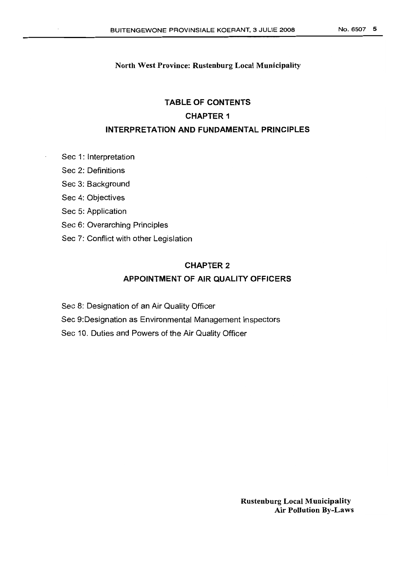# **TABLE OF CONTENTS CHAPTER 1 INTERPRETATION AND FUNDAMENTAL PRINCIPLES**

- Sec 1: Interpretation
- Sec 2: Definitions
- Sec 3: Background
- Sec 4: Objectives
- Sec 5: Application
- Sec 6: Overarching Principles
- Sec 7: Conflict with other Legislation

# **CHAPTER** 2

# **APPOINTMENT OF AIR QUALITY OFFICERS**

- Sec 8: Designation of an Air Quality Officer
- Sec 9:Designation as Environmental Management Inspectors
- Sec 10. Duties and Powers of the Air Quality Officer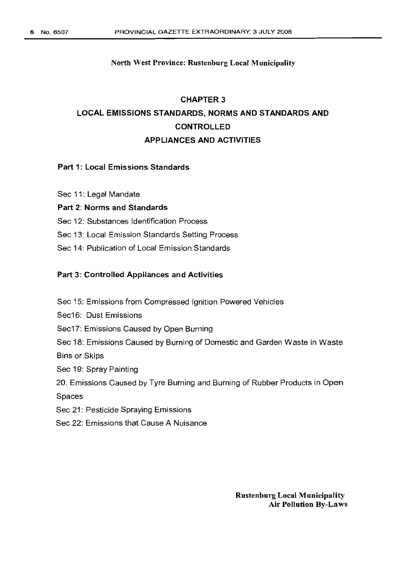# CHAPTER 3 LOCAL EMISSIONS STANDARDS, NORMS AND STANDARDS AND CONTROLLED APPLIANCES AND ACTIVITIES

## Part 1: Local Emissions Standards

Sec 11: Legal Mandate

### Part 2: Norms and Standards

Sec 12: Substances Identification Process

Sec 13: Local Emission Standards Setting Process

Sec 14: Publication of Local Emission Standards

### Part 3: Controlled Appliances and Activities

Sec 15: Emissions from Compressed Ignition Powered Vehicles

Sec16: Dust Emissions

Sec17: Emissions Caused by Open Burning

Sec 18: Emissions Caused by Burning of Domestic and Garden Waste in Waste

Bins or Skips

Sec 19: Spray Painting

20. Emissions Caused by Tyre Burning and Burning of Rubber Products in Open

Spaces

Sec 21: Pesticide Spraying Emissions

Sec 22: Emissions that Cause A Nuisance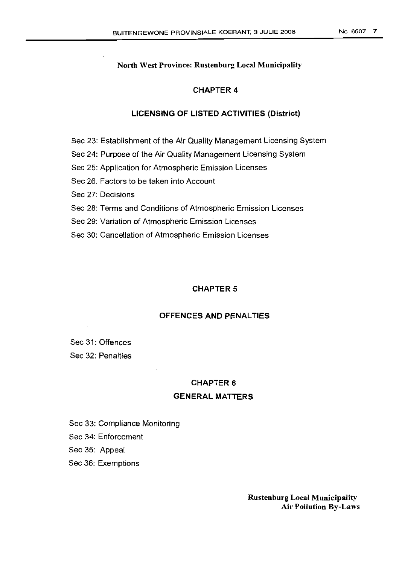### CHAPTER 4

### LICENSING OF LISTED ACTIVITIES (District)

Sec 23: Establishment of the Air Quality Management Licensing System

Sec 24: Purpose of the Air Quality Management Licensing System

Sec 25: Application for Atmospheric Emission Licenses

Sec 26. Factors to be taken into Account

Sec 27: Decisions

Sec 28: Terms and Conditions of Atmospheric Emission Licenses

Sec 29: Variation of Atmospheric Emission Licenses

Sec 30: Cancellation of Atmospheric Emission Licenses

### CHAPTER 5

## OFFENCES AND PENALTIES

Sec 31: Offences Sec 32: Penalties

#### CHAPTER 6

### GENERAL MATTERS

Sec 33: Compliance Monitoring

Sec 34: Enforcement

Sec 35: Appeal

Sec 36: Exemptions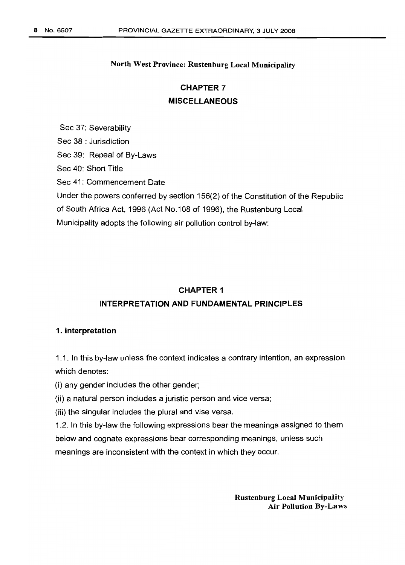# **CHAPTER 7 MISCELLANEOUS**

Sec 37: Severability Sec 38 : Jurisdiction Sec 39: Repeal of By-Laws Sec 40: Short Title Sec 41: Commencement Date Under the powers conferred by section 156(2) of the Constitution of the Republic of South Africa Act, 1996 (Act No.108 of 1996), the Rustenburg Local Municipality adopts the following air pollution control by-law:

### **CHAPTER 1**

# **INTERPRETATION AND FUNDAMENTAL PRINCIPLES**

### 1. Interpretation

1.1. In this by-law unless the context indicates a contrary intention, an expression which denotes:

(i) any gender includes the other gender;

(ii) a natural person includes a juristic person and vice versa;

(iii) the singular includes the plural and vise versa.

1.2. In this by-law the following expressions bear the meanings assigned to them below and cognate expressions bear corresponding meanings, unless such meanings are inconsistent with the context in which they occur.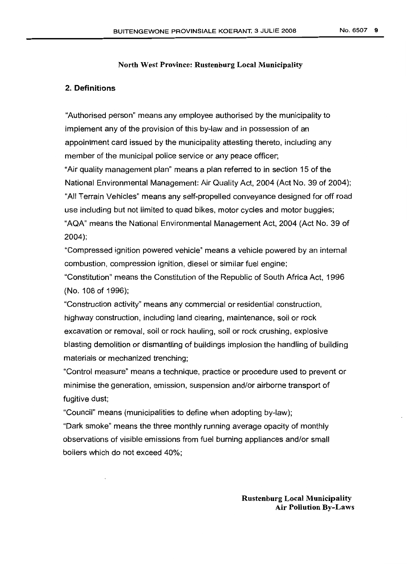### 2. Definitions

"Authorised person" means any employee authorised by the municipality to implement any of the provision of this by-law and in possession of an appointment card issued by the municipality attesting thereto, including any member of the municipal police service or any peace officer;

"Air quality management plan" means a plan referred to in section 15 of the National Environmental Management: Air Quality Act, 2004 (Act No. 39 of 2004); "All Terrain Vehicles" means any self-propelled conveyance designed for off road use including but not limited to quad bikes, motor cycles and motor buggies; "AQA" means the National Environmental Management Act, 2004 (Act No. 39 of 2004);

"Compressed ignition powered vehicle" means a vehicle powered by an internal combustion, compression ignition, diesel or similar fuel engine;

"Constitution" means the Constitution of the Republic of South Africa Act, 1996 (No. 108 of 1996);

"Construction activity" means any commercial or residential construction, highway construction, including land clearing, maintenance, soil or rock excavation or removal, soil or rock hauling, soil or rock crushing, explosive blasting demolition or dismantling of buildings implosion the handling of building materials or mechanized trenching;

"Control measure" means a technique, practice or procedure used to prevent or minimise the generation, emission, suspension and/or airborne transport of fugitive dust;

"Council" means (municipalities to define when adopting by-law);

"Dark smoke" means the three monthly running average opacity of monthly observations of visible emissions from fuel burning appliances and/or small boilers which do not exceed 40%;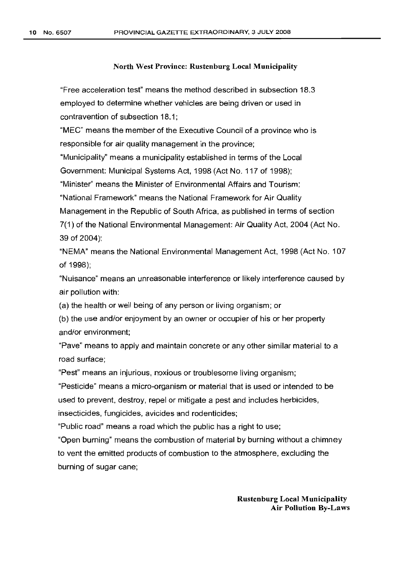"Free acceleration test" means the method described in subsection 18.3 employed to determine whether vehicles are being driven or used in contravention of subsection 18.1;

"MEC" means the member of the Executive Council of a province who is responsible for air quality management in the province;

"Municipality" means a municipality established in terms of the Local Government: Municipal Systems Act, 1998 (Act No. 117 of 1998);

"Minister" means the Minister of Environmental Affairs and Tourism;

"National Framework" means the National Framework for Air Quality

Management in the Republic of South Africa, as published in terms of section

7(1) of the National Environmental Management: Air Quality Act, 2004 (Act No. 39 of 2004);

"NEMA" means the National Environmental Management Act, 1998 (Act No. 107 of 1998);

"Nuisance" means an unreasonable interference or likely interference caused by air pollution with:

(a) the health or well being of any person or living organism; or

(b) the use and/or enjoyment by an owner or occupier of his or her property and/or environment;

"Pave" means to apply and maintain concrete or any other similar material to a road surface;

"Pest" means an injurious, noxious or troublesome living organism;

"Pesticide" means a micro-organism or material that is used or intended to be used to prevent, destroy, repel or mitigate a pest and includes herbicides, insecticides, fungicides, avicides and rodenticides;

"Public road" means a road which the public has a right to use;

"Open burning" means the combustion of material by burning without a chimney to vent the emitted products of combustion to the atmosphere, excluding the burning of sugar cane;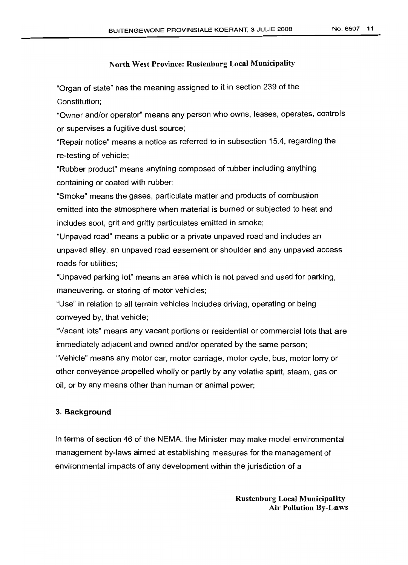"Organ of state" has the meaning assigned to it in section 239 of the Constitution;

"Owner and/or operator" means any person who owns, leases, operates, controls or supervises a fugitive dust source;

"Repair notice" means a notice as referred to in subsection 15.4, regarding the re-testing of vehicle;

"Rubber product" means anything composed of rubber including anything containing or coated with rubber;

"Smoke" means the gases, particulate matter and products of combustion emitted into the atmosphere when material is burned or subjected to heat and includes soot, grit and gritty particulates emitted in smoke;

"Unpaved road" means a public or a private unpaved road and includes an unpaved alley, an unpaved road easement or shoulder and any unpaved access roads for utilities;

"Unpaved parking lot" means an area which is not paved and used for parking, maneuvering, or storing of motor vehicles;

"Use" in relation to all terrain vehicles includes driving, operating or being conveyed by, that vehicle;

"Vacant lots" means any vacant portions or residential or commercial lots that are immediately adjacent and owned and/or operated by the same person; "Vehicle" means any motor car, motor carriage, motor cycle, bus, motor lorry or other conveyance propelled wholly or partly by any volatile spirit, steam, gas or oil, or by any means other than human or animal power;

## 3. Background

In terms of section 46 of the NEMA, the Minister may make model environmental management by-laws aimed at establishing measures for the management of environmental impacts of any development within the jurisdiction of a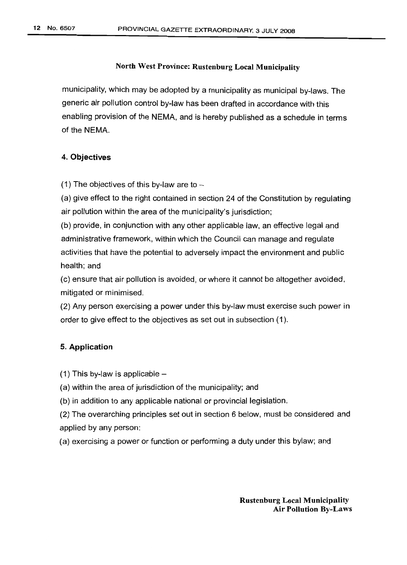municipality, which may be adopted by a municipality as municipal by-laws. The generic air pollution control by-law has been drafted in accordance with this enabling provision of the NEMA, and is hereby published as a schedule in terms of the NEMA.

### 4. Objectives

(1) The objectives of this by-law are to  $-$ 

(a) give effect to the right contained in section 24 of the Constitution by regulating air pollution within the area of the municipality's jurisdiction;

(b) provide, in conjunction with any other applicable law, an effective legal and administrative framework, within which the Council can manage and regulate activities that have the potential to adversely impact the environment and public health; and

(c) ensure that air pollution is avoided, or where it cannot be altogether avoided, mitigated or minimised.

(2) Any person exercising a power under this by-law must exercise such power in order to give effect to the objectives as set out in subsection (1).

#### 5. Application

 $(1)$  This by-law is applicable  $-$ 

- (a) within the area of jurisdiction of the municipality; and
- (b) in addition to any applicable national or provincial legislation.
- (2) The overarching principles set out in section 6 below, must be considered and applied by any person:
- (a) exercising a power or function or performing a duty under this bylaw; and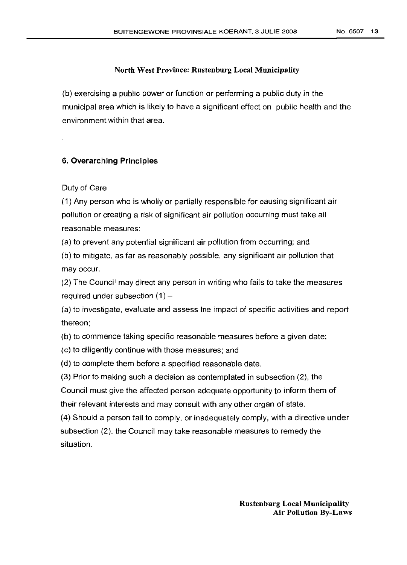(b) exercising a public power or function or performing a public duty in the municipal area which is likely to have a significant effect on public health and the environment within that area.

## 6. Overarching Principles

### Duty of Care

(1) Any person who is wholly or partially responsible for causing significant air pollution or creating a risk of significant air pollution occurring must take all reasonable measures:

(a) to prevent any potential significant air pollution from occurring; and

(b) to mitigate, as far as reasonably possible, any significant air pollution that may occur.

(2) The Council may direct any person in writing who fails to take the measures required under subsection  $(1)$  -

(a) to investigate, evaluate and assess the impact of specific activities and report thereon;

(b) to commence taking specific reasonable measures before a given date;

(c) to diligently continue with those measures; and

(d) to complete them before a specified reasonable date.

(3) Prior to making such a decision as contemplated in subsection (2), the Council must give the affected person adequate opportunity to inform them of their relevant interests and may consult with any other organ of state.

(4) Should a person fail to comply, or inadequately comply, with a directive under subsection (2), the Council may take reasonable measures to remedy the situation.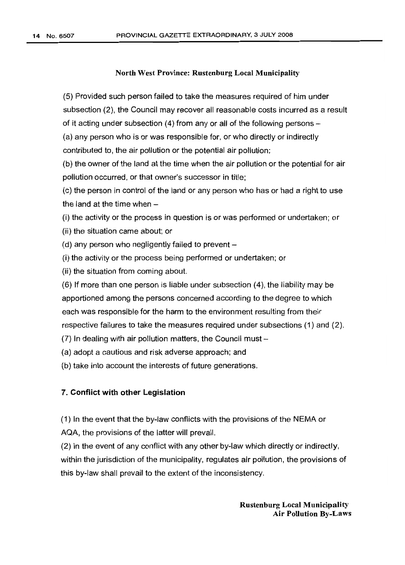(5) Provided such person failed to take the measures required of him under subsection (2), the Council may recover all reasonable costs incurred as a result of it acting under subsection (4) from any or all of the following persons -

(a) any person who is or was responsible for, or who directly or indirectly contributed to, the air pollution or the potential air pollution;

(b) the owner of the land at the time when the air pollution or the potential for air pollution occurred, or that owner's successor in title;

(c) the person in control of the land or any person who has or had a right to use the land at the time when  $-$ 

(i) the activity or the process in question is or was performed or undertaken; or

- (ii) the situation came about; or
- (d) any person who negligently failed to prevent  $-$
- (i) the activity or the process being performed or undertaken; or
- (ii) the situation from coming about.

(6) If more than one person is liable under subsection (4), the liability may be apportioned among the persons concerned according to the degree to which each was responsible for the harm to the environment resulting from their respective failures to take the measures required under subsections (1) and (2).

 $(7)$  In dealing with air pollution matters, the Council must  $-$ 

(a) adopt a cautious and risk adverse approach; and

(b) take into account the interests of future generations.

### 7. Conflict with other Legislation

(1) In the event that the by-law conflicts with the provisions of the NEMA or AQA, the provisions of the latter will prevail.

(2) In the event of any conflict with any other by-law which directly or indirectly, within the jurisdiction of the municipality, regulates air pollution, the provisions of this by-law shall prevail to the extent of the inconsistency.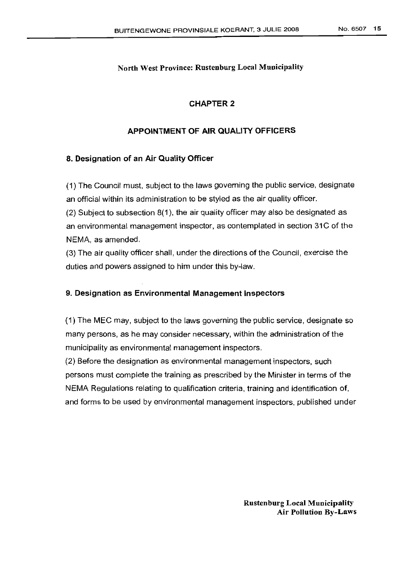# CHAPTER 2

# APPOINTMENT OF AIR QUALITY OFFICERS

## 8. Designation of an Air Quality Officer

(1) The Council must, subject to the laws governing the public service, designate an official within its administration to be styled as the air quality officer.

(2) Subject to subsection 8(1), the air quality officer may also be designated as an environmental management inspector, as contemplated in section 31C of the NEMA, as amended.

(3) The air quality officer shall, under the directions of the Council, exercise the duties and powers assigned to him under this by-law.

## 9. Designation as Environmental Management Inspectors

(1) The MEC may, subject to the laws governing the public service, designate so many persons, as he may consider necessary, within the administration of the municipality as environmental management inspectors.

(2) Before the designation as environmental management inspectors, such persons must complete the training as prescribed by the Minister in terms of the NEMA Regulations relating to qualification criteria, training and identification of, and forms to be used by environmental management inspectors, published under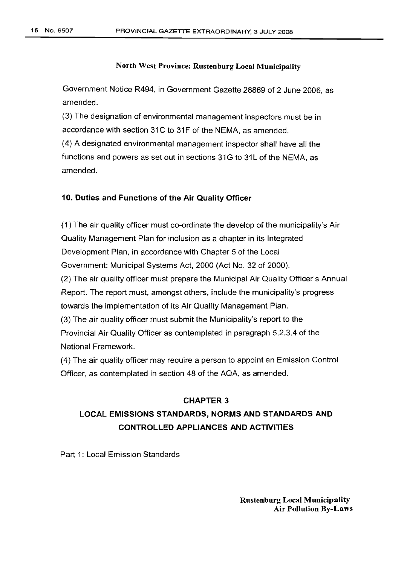Government Notice R494, in Government Gazette 28869 of 2 June 2006, as amended.

(3) The designation of environmental management inspectors must be in accordance with section 31C to 31F of the NEMA, as amended.

(4) A designated environmental management inspector shall have all the functions and powers as set out in sections 31G to 31L of the NEMA, as amended.

### 10. Duties and Functions of the Air Quality Officer

(1) The air quality officer must co-ordinate the develop of the municipality's Air Quality Management Plan for inclusion as a chapter in its Integrated Development Plan, in accordance with Chapter 5 of the Local Government: Municipal Systems Act, 2000 (Act No. 32 of 2000). (2) The air quality officer must prepare the Municipal Air Quality Officer's Annual Report. The report must, amongst others, include the municipality's progress towards the implementation of its Air Quality Management Plan. (3) The air quality officer must submit the Municipality's report to the Provincial Air Quality Officer as contemplated in paragraph 5.2.3.4 of the National Framework.

(4) The air quality officer may require a person to appoint an Emission Control Officer, as contemplated in section 48 of the AQA, as amended.

# CHAPTER 3 LOCAL EMISSIONS STANDARDS, NORMS AND STANDARDS AND CONTROLLED APPLIANCES AND ACTIVITIES

Part 1: Local Emission Standards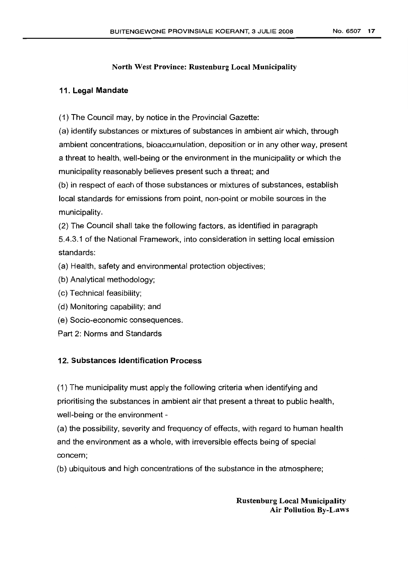## 11. Legal Mandate

(1) The Council may, by notice in the Provincial Gazette:

(a) identify substances or mixtures of substances in ambient air which, through ambient concentrations, bioaccumulation, deposition or in any other way, present a threat to health, well-being or the environment in the municipality or which the municipality reasonably believes present such a threat; and

(b) in respect of each of those substances or mixtures of substances, establish local standards for emissions from point, non-point or mobile sources in the municipality.

(2) The Council shall take the following factors, as identified in paragraph 5.4.3.1 of the National Framework, into consideration in setting local emission standards:

(a) Health, safety and environmental protection objectives;

- (b) Analytical methodology;
- (c) Technical feasibility;
- (d) Monitoring capability; and
- (e) Socio-economic consequences.
- Part 2: Norms and Standards

## 12. Substances Identification Process

(1) The municipality must apply the following criteria when identifying and prioritising the substances in ambient air that present a threat to public health, well-being or the environment -

(a) the possibility, severity and frequency of effects, with regard to human health and the environment as a whole, with irreversible effects being of special concern;

(b) ubiquitous and high concentrations of the substance in the atmosphere;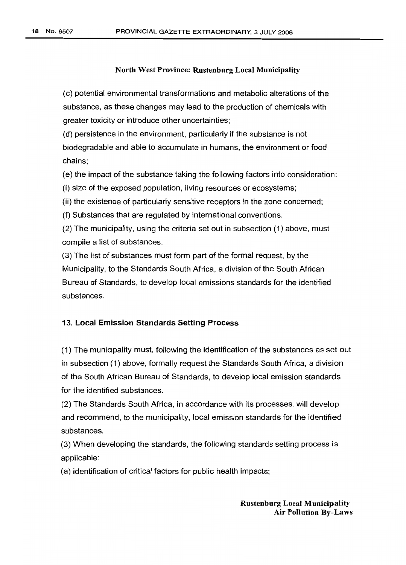(c) potential environmental transformations and metabolic alterations of the substance, as these changes may lead to the production of chemicals with greater toxicity or introduce other uncertainties;

(d) persistence in the environment, particularly if the substance is not biodegradable and able to accumulate in humans, the environment or food chains;

(e) the impact of the substance taking the following factors into consideration:

(i) size of the exposed population, living resources or ecosystems;

(ii) the existence of particularly sensitive receptors in the zone concerned;

(f) Substances that are regulated by international conventions.

(2) The municipality, using the criteria set out in subsection (1) above, must compile a list of substances.

(3) The list of substances must form part of the formal request, by the Municipality, to the Standards South Africa, a division of the South African Bureau of Standards, to develop local emissions standards for the identified substances.

### 13. Local Emission Standards Setting Process

(1) The municipality must, following the identification of the substances as set out in subsection (1) above, formally request the Standards South Africa, a division of the South African Bureau of Standards, to develop local emission standards for the identified substances.

(2) The Standards South Africa, in accordance with its processes, will develop and recommend, to the municipality, local emission standards for the identified substances.

(3) When developing the standards, the following standards setting process is applicable:

(a) identification of critical factors for public health impacts;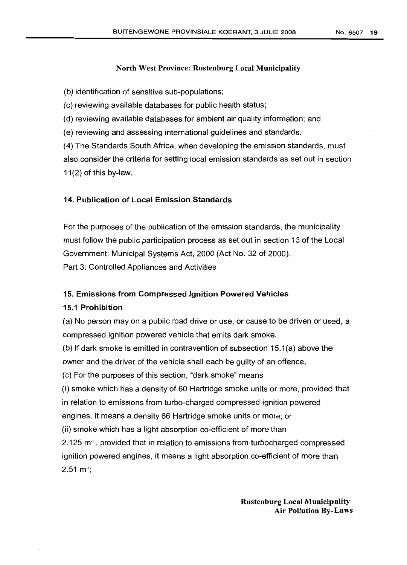(b) identification of sensitive sub-populations;

(c) reviewing available databases for public health status;

(d) reviewing available databases for ambient air quality information; and

(e) reviewing and assessing international guidelines and standards.

(4) The Standards South Africa, when developing the emission standards, must also consider the criteria for setting local emission standards as set out in section 11(2) of this by-law.

# 14. Publication of Local Emission Standards

For the purposes of the publication of the emission standards, the municipality must follow the public participation process as set out in section 13 of the Local Government: Municipal Systems Act, 2000 (Act No. 32 of 2000). Part 3: Controlled Appliances and Activities

### 15. Emissions from Compressed Ignition Powered Vehicles

### 15.1 Prohibition

(a) No person may on a public road drive or use, or cause to be driven or used, a compressed ignition powered vehicle that emits dark smoke.

(b) If dark smoke is emitted in contravention of subsection 15.1(a) above the owner and the driver of the vehicle shall each be guilty of an offence.

(c) For the purposes of this section, "dark smoke" means

(i) smoke which has a density of 60 Hartridge smoke units or more, provided that in relation to emissions from turbo-charged compressed ignition powered engines, it means a density 66 Hartridge smoke units or more; or

(ii) smoke which has a light absorption co-efficient of more than

2.125  $m<sup>+</sup>$ , provided that in relation to emissions from turbocharged compressed ignition powered engines, it means a light absorption co-efficient of more than  $2.51 \text{ m}$ <sup>1</sup>;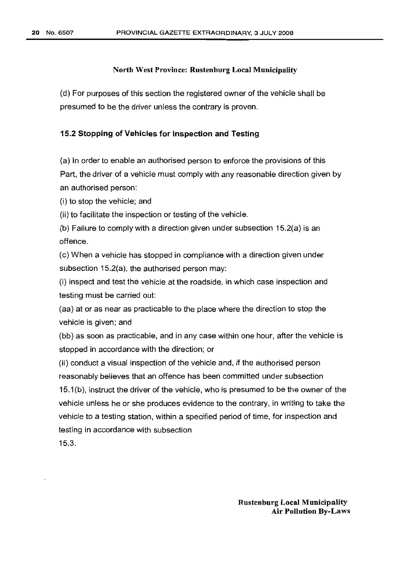(d) For purposes of this section the registered owner of the vehicle shall be presumed to be the driver unless the contrary is proven.

### 15.2 Stopping of Vehicles for Inspection and Testing

(a) In order to enable an authorised person to enforce the provisions of this Part, the driver of a vehicle must comply with any reasonable direction given by an authorised person:

(i) to stop the vehicle; and

(ii) to facilitate the inspection or testing of the vehicle.

(b) Failure to comply with a direction given under subsection 15.2(a) is an offence.

(c) When a vehicle has stopped in compliance with a direction given under subsection 15.2(a), the authorised person may:

(i) inspect and test the vehicle at the roadside, in which case inspection and testing must be carried out:

(aa) at or as near as practicable to the place where the direction to stop the vehicle is given; and

(bb) as soon as practicable, and in any case within one hour, after the vehicle is stopped in accordance with the direction; or

(ii) conduct a visual inspection of the vehicle and, if the authorised person reasonably believes that an offence has been committed under subsection 15.1(b), instruct the driver of the vehicle, who is presumed to be the owner of the vehicle unless he or she produces evidence to the contrary, in writing to take the vehicle to a testing station, within a specified period of time, for inspection and testing in accordance with subsection

15.3.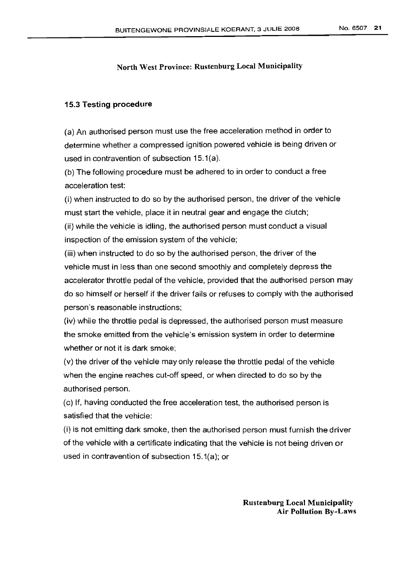### 15.3 Testing procedure

(a) An authorised person must use the free acceleration method in order to determine whether a compressed ignition powered vehicle is being driven or used in contravention of subsection 15.1(a).

(b) The following procedure must be adhered to in order to conduct a free acceleration test:

(i) when instructed to do so by the authorised person, the driver of the vehicle must start the vehicle, place it in neutral gear and engage the clutch;

(ii) while the vehicle is idling, the authorised person must conduct a visual inspection of the emission system of the vehicle;

(iii) when instructed to do so by the authorised person, the driver of the vehicle must in less than one second smoothly and completely depress the accelerator throttle pedal of the vehicle, provided that the authorised person may do so himself or herself if the driver fails or refuses to comply with the authorised person's reasonable instructions;

(iv) while the throttle pedal is depressed, the authorised person must measure the smoke emitted from the vehicle's emission system in order to determine whether or not it is dark smoke;

(v) the driver of the vehicle may only release the throttle pedal of the vehicle when the engine reaches cut-off speed, or when directed to do so by the authorised person.

(c) If, having conducted the free acceleration test, the authorised person is satisfied that the vehicle:

(i) is not emitting dark smoke, then the authorised person must furnish the driver of the vehicle with a certificate indicating that the vehicle is not being driven or used in contravention of subsection 15.1(a); or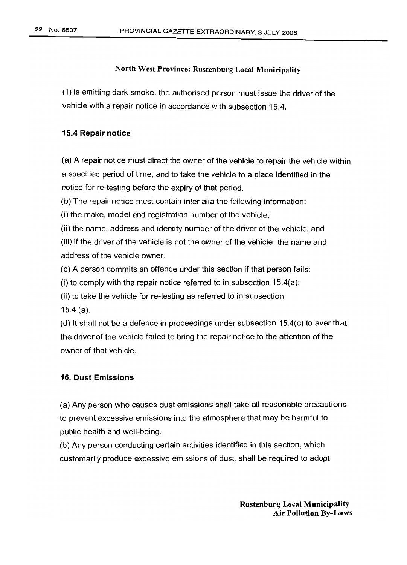(ii) is emitting dark smoke, the authorised person must issue the driver of the vehicle with a repair notice in accordance with subsection 15.4.

## 15.4 Repair notice

(a) A repair notice must direct the owner of the vehicle to repair the vehicle within a specified period of time, and to take the vehicle to a place identified in the notice for re-testing before the expiry of that period.

(b) The repair notice must contain inter alia the following information:

(i) the make, model and registration number of the vehicle;

(ii) the name, address and identity number of the driver of the vehicle; and (iii) if the driver of the vehicle is not the owner of the vehicle, the name and address of the vehicle owner.

(c) A person commits an offence under this section if that person fails:

(i) to comply with the repair notice referred to in subsection  $15.4(a)$ ;

(ii) to take the vehicle for re-testing as referred to in subsection

15.4 (a).

(d) It shall not be a defence in proceedings under subsection 15.4(c) to aver that the driver of the vehicle failed to bring the repair notice to the attention of the owner of that vehicle.

## 16. Dust Emissions

(a) Any person who causes dust emissions shall take all reasonable precautions to prevent excessive emissions into the atmosphere that may be harmful to public health and well-being.

(b) Any person conducting certain activities identified in this section, which customarily produce excessive emissions of dust, shall be required to adopt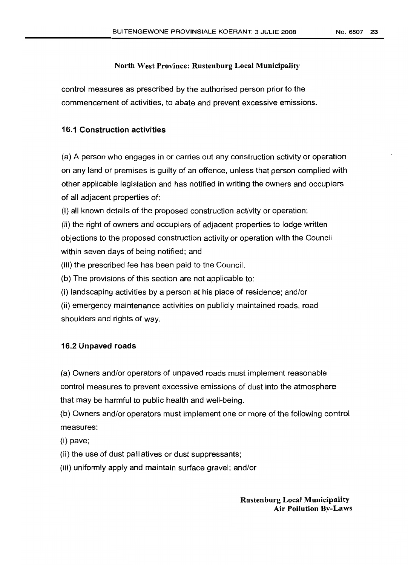control measures as prescribed by the authorised person prior to the commencement of activities, to abate and prevent excessive emissions.

### 16.1 Construction activities

(a) A person who engages in or carries out any construction activity or operation on any land or premises is guilty of an offence, unless that person complied with other applicable legislation and has notified in writing the owners and occupiers of all adjacent properties of:

(i) all known details of the proposed construction activity or operation;

(ii) the right of owners and occupiers of adjacent properties to lodge written objections to the proposed construction activity or operation with the Council within seven days of being notified; and

(iii) the prescribed fee has been paid to the Council.

(b) The provisions of this section are not applicable to:

(i) landscaping activities by a person at his place of residence; and/or

(ii) emergency maintenance activities on publicly maintained roads, road shoulders and rights of way.

### 16.2 Unpaved roads

(a) Owners and/or operators of unpaved roads must implement reasonable control measures to prevent excessive emissions of dust into the atmosphere that may be harmful to public health and well-being.

(b) Owners and/or operators must implement one or more of the following control measures:

(i) pave;

(ii) the use of dust palliatives or dust suppressants;

(iii) uniformly apply and maintain surface gravel; and/or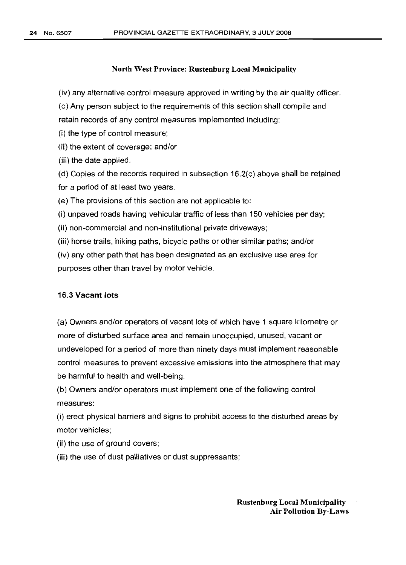(iv) any alternative control measure approved in writing by the air quality officer.

(c) Any person subject to the requirements of this section shall compile and retain records of any control measures implemented including:

(i) the type of control measure;

(ii) the extent of coverage; and/or

(iii) the date applied.

(d) Copies of the records required in subsection 16.2(c) above shall be retained for a period of at least two years.

(e) The provisions of this section are not applicable to:

(i) unpaved roads having vehicular traffic of less than 150 vehicles per day;

(ii) non-commercial and non-institutional private driveways;

(iii) horse trails, hiking paths, bicycle paths or other similar paths; and/or

(iv) any other path that has been designated as an exclusive use area for purposes other than travel by motor vehicle.

### 16.3 Vacant lots

(a) Owners and/or operators of vacant lots of which have 1 square kilometre or more of disturbed surface area and remain unoccupied, unused, vacant or undeveloped for a period of more than ninety days must implement reasonable control measures to prevent excessive emissions into the atmosphere that may be harmful to health and well-being.

(b) Owners and/or operators must implement one of the following control measures:

(i) erect physical barriers and signs to prohibit access to the disturbed areas by motor vehicles;

(ii) the use of ground covers;

(iii) the use of dust palliatives or dust suppressants;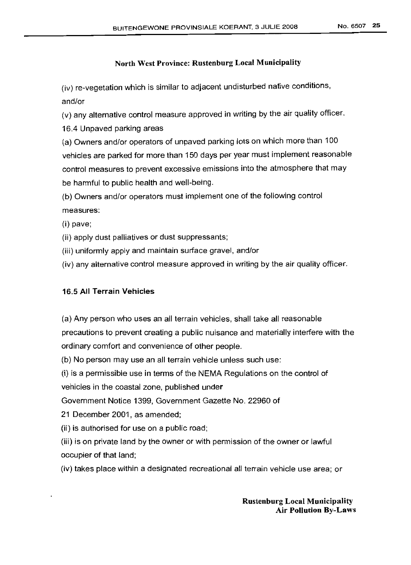(iv) re-vegetation which is similar to adjacent undisturbed native conditions, and/or

(v) any alternative control measure approved in writing by the air quality officer.

16.4 Unpaved parking areas

(a) Owners and/or operators of unpaved parking lots on which more than 100 vehicles are parked for more than 150 days per year must implement reasonable control measures to prevent excessive emissions into the atmosphere that may be harmful to public health and well-being.

(b) Owners and/or operators must implement one of the following control measures:

(i) pave;

(ii) apply dust palliatives or dust suppressants;

(iii) uniformly apply and maintain surface gravel, and/or

(iv) any alternative control measure approved in writing by the air quality officer.

# 16.5 **All** Terrain Vehicles

(a) Any person who uses an all terrain vehicles, shall take all reasonable precautions to prevent creating a public nuisance and materially interfere with the ordinary comfort and convenience of other people.

(b) No person may use an all terrain vehicle unless such use:

(i) is a permissible use in terms of the NEMA Regulations on the control of

vehicles in the coastal zone, published under

Government Notice 1399, Government Gazette No. 22960 of

21 December 2001, as amended;

(ii) is authorised for use on a public road;

(iii) is on private land by the owner or with permission of the owner or lawful occupier of that land;

(iv) takes place within a designated recreational all terrain vehicle use area; or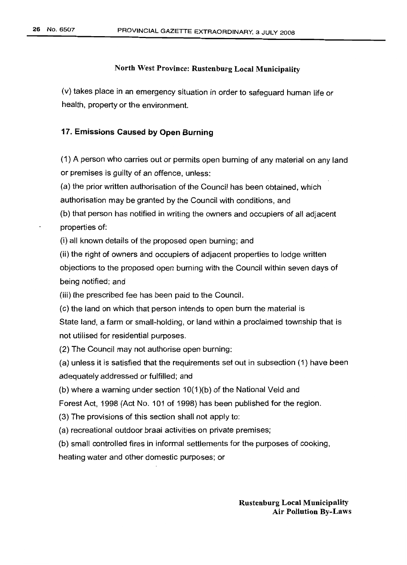(v) takes place in an emergency situation in order to safeguard human life or health, property or the environment.

### 17. Emissions Caused by Open Burning

(1) A person who carries out or permits open burning of any material on any land or premises is guilty of an offence, unless:

(a) the prior written authorisation of the Council has been obtained, which authorisation may be granted by the Council with conditions, and

(b) that person has notified in writing the owners and occupiers of all adjacent properties of:

(i) all known details of the proposed open burning; and

(ii) the right of owners and occupiers of adjacent properties to lodge written objections to the proposed open burning with the Council within seven days of being notified; and

(iii) the prescribed fee has been paid to the Council.

(c) the land on which that person intends to open burn the material is State land, a farm or small-holding, or land within a proclaimed township that is not utilised for residential purposes.

(2) The Council may not authorise open burning:

(a) unless it is satisfied that the requirements set out in subsection (1) have been adequately addressed or fulfilled; and

(b) where a warning under section 10(1)(b) of the National Veld and

Forest Act, 1998 (Act No. 101 of 1998) has been published for the region.

(3) The provisions of this section shall not apply to:

(a) recreational outdoor braai activities on private premises;

(b) small controlled fires in informal settlements for the purposes of cooking,

heating water and other domestic purposes; or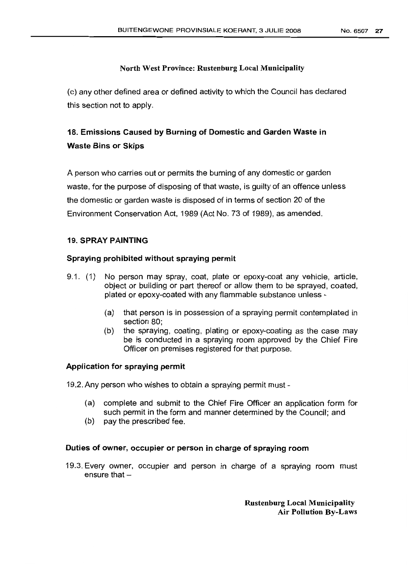(c) any other defined area or defined activity to which the Council has declared this section not to apply.

# 18. Emissions Caused by Burning of Domestic and Garden Waste in Waste Bins or Skips

A person who carries out or permits the burning of any domestic or garden waste, for the purpose of disposing of that waste, is quilty of an offence unless the domestic or garden waste is disposed of in terms of section 20 of the Environment Conservation Act, 1989 (Act No. 73 of 1989), as amended.

## 19. SPRAY PAINTING

## Spraying prohibited without spraying permit

- 9.1. (1) No person may spray, coat, plate or epoxy-coat any vehicle, article, object or building or part thereof or allow them to be sprayed, coated, plated or epoxy-coated with any flammable substance unless -
	- (a) that person is in possession of a spraying permit contemplated in section 80;
	- (b) the spraying, coating, plating or epoxy-coating as the case may be is conducted in a spraying room approved by the Chief Fire Officer on premises registered for that purpose.

## Application for spraying permit

19.2. Any person who wishes to obtain a spraying permit must -

- (a) complete and submit to the Chief Fire Officer an application form for such permit in the form and manner determined by the Council; and
- (b) pay the prescribed fee.

### Duties of owner, occupier or person in charge of spraying room

19.3. Every owner, occupier and person in charge of a spraying room must ensure that  $-$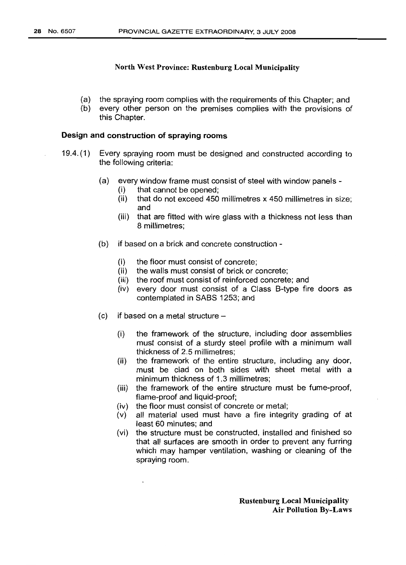- (a) the spraying room complies with the requirements of this Chapter; and
- (b) every other person on the premises complies with the provisions of this Chapter.

### Design and construction of spraying rooms

- 19.4. (1) Every spraying room must be designed and constructed according to the following criteria:
	- (a) every window frame must consist of steel with window panels
		- (i) that cannot be opened;
		- (ii) that do not exceed 450 millimetres x 450 millimetres in size; and
		- (iii) that are fitted with wire glass with a thickness not less than 8 millimetres;
	- (b) if based on a brick and concrete construction
		- (i) the floor must consist of concrete;
		- (ii) the walls must consist of brick or concrete;
		- (iii) the roof must consist of reinforced concrete; and
		- (iv) every door must consist of a Class S-type fire doors as contemplated in SABS 1253; and
	- $(c)$  if based on a metal structure  $-$ 
		- (i) the framework of the structure, including door assemblies must consist of a sturdy steel profile with a minimum wall thickness of 2.5 millimetres;
		- (ii) the framework of the entire structure, including any door, must be clad on both sides with sheet metal with a minimum thickness of 1.3 millimetres;
		- (iii) the framework of the entire structure must be fume-proof, flame-proof and liquid-proof;
		- (iv) the floor must consist of concrete or metal;
		- (v) all material used must have a fire integrity grading of at least 60 minutes; and
		- (vi) the structure must be constructed, installed and finished so that all surfaces are smooth in order to prevent any furring which may hamper ventilation, washing or cleaning of the spraying room.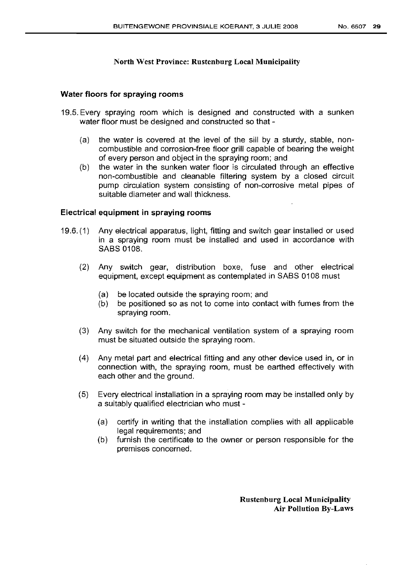### Water floors for spraying rooms

- 19.5. Every spraying room which is designed and constructed with a sunken water floor must be designed and constructed so that -
	- (a) the water is covered at the level of the sill by a sturdy, stable, noncombustible and corrosion-free floor grill capable of bearing the weight of every person and object in the spraying room; and
	- (b) the water in the sunken water floor is circulated through an effective non-combustible and cleanable filtering system by a closed circuit pump circulation system consisting of non-corrosive metal pipes of suitable diameter and wall thickness.

### Electrical equipment in spraying rooms

- 19.6. (1) Any electrical apparatus, light, fitting and switch gear installed or used in a spraying room must be installed and used in accordance with SABS 0108.
	- (2) Any switch gear, distribution boxe, fuse and other electrical equipment, except equipment as contemplated in SABS 0108 must
		- (a) be located outside the spraying room; and
		- (b) be positioned so as not to come into contact with fumes from the spraying room.
	- (3) Any switch for the mechanical ventilation system of a spraying room must be situated outside the spraying room.
	- (4) Any metal part and electrical fitting and any other device used in, or in connection with, the spraying room, must be earthed effectively with each other and the ground.
	- (5) Every electrical installation in a spraying room may be installed only by a suitably qualified electrician who must -
		- (a) certify in writing that the installation complies with all applicable legal requirements; and
		- (b) furnish the certificate to the owner or person responsible for the premises concerned.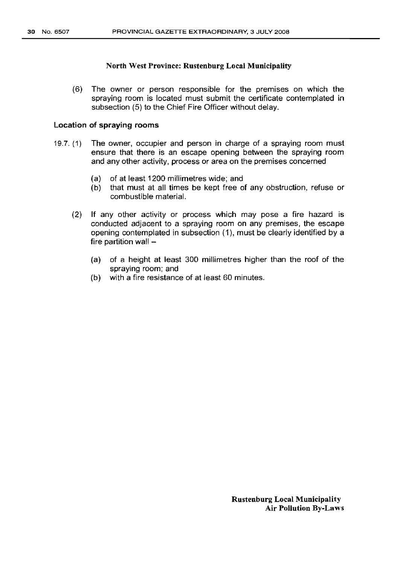(6) The owner or person responsible for the premises on which the spraying room is located must submit the certificate contemplated in subsection (5) to the Chief Fire Officer without delay.

### Location of spraying rooms

- 19.7. (1) The owner, occupier and person in charge of a spraying room must ensure that there is an escape opening between the spraying room and any other activity, process or area on the premises concerned
	- (a) of at least 1200 millimetres wide; and
	- (b) that must at all times be kept free of any obstruction, refuse or combustible material.
	- (2) If any other activity or process which may pose a fire hazard is conducted adjacent to a spraying room on any premises, the escape opening contemplated in subsection (1), must be clearly identified by a fire partition wall -
		- (a) of a height at least 300 millimetres higher than the roof of the spraying room; and
		- (b) with a fire resistance of at least 60 minutes.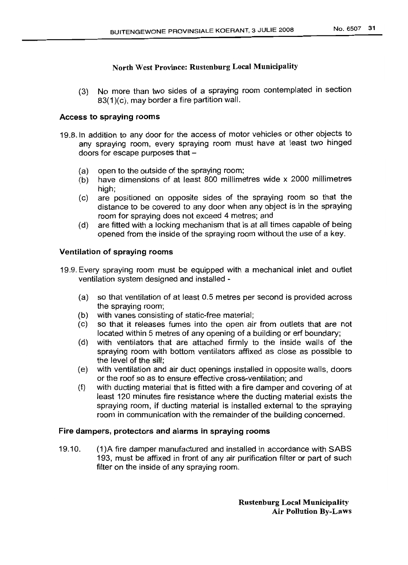(3) No more than two sides of a spraying room contemplated in section 83(1)(c), may border a fire partition wall.

## Access to spraying rooms

- 19.8.ln addition to any door for the access of motor vehicles or other objects to any spraying room, every spraying room must have at least two hinged doors for escape purposes that  $-$ 
	- (a) open to the outside of the spraying room;
	- (b) have dimensions of at least 800 millimetres wide x 2000 millimetres high:
	- (c) are positioned on opposite sides of the spraying room so that the distance to be covered to any door when any object is in the spraying room for spraying does not exceed 4 metres; and
	- (d) are fitted with a locking mechanism that is at all times capable of being opened from the inside of the spraying room without the use of a key.

## Ventilation of spraying rooms

- 19.9. Every spraying room must be equipped with a mechanical inlet and outlet ventilation system designed and installed -
	- (a) so that ventilation of at least 0.5 metres per second is provided across the spraying room;
	- (b) with vanes consisting of static-free material;
	- (c) so that it releases fumes into the open air from outlets that are not located within 5 metres of any opening of a building or erf boundary;
	- (d) with ventilators that are attached firmly to the inside walls of the spraying room with bottom ventilators affixed as close as possible to the level of the sill;
	- (e) with ventilation and air duct openings installed in opposite walls, doors or the roof so as to ensure effective cross-ventilation; and
	- (f) with ducting material that is fitted with a fire damper and covering of at least 120 minutes fire resistance where the ducting material exists the spraying room, if ducting material is installed external to the spraying room in communication with the remainder of the building concerned.

## Fire dampers, protectors and alarms in spraying rooms

19.10. (1)A fire damper manufactured and installed in accordance with SASS 193, must be affixed in front of any air purification filter or part of such filter on the inside of any spraying room.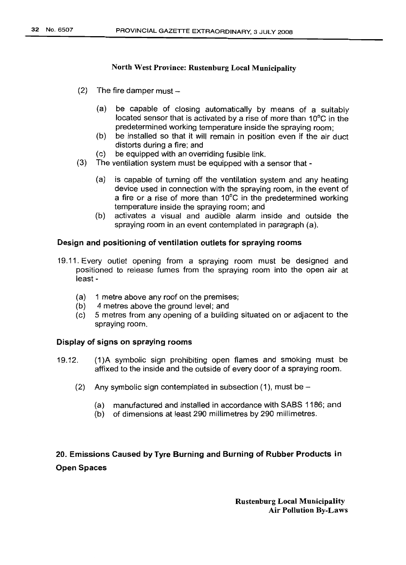- $(2)$  The fire damper must  $-$ 
	- (a) be capable of closing automatically by means of a suitably located sensor that is activated by a rise of more than 10°C in the predetermined working temperature inside the spraying room;
	- (b) be installed so that it will remain in position even if the air duct distorts during a fire; and
	- (c) be equipped with an overriding fusible link.
- (3) The ventilation system must be equipped with a sensor that-
	- (a) is capable of turning off the ventilation system and any heating device used in connection with the spraying room, in the event of a fire or a rise of more than 10°C in the predetermined working temperature inside the spraying room; and
	- (b) activates a visual and audible alarm inside and outside the spraying room in an event contemplated in paragraph (a).

## Design and positioning of ventilation outlets for spraying rooms

- 19.11. Every outlet opening from a spraying room must be designed and positioned to release fumes from the spraying room into the open air at least -
	- (a) 1 metre above any roof on the premises;
	- (b) 4 metres above the ground level; and
	- (c) 5 metres from any opening of a building situated on or adjacent to the spraying room.

## Display of signs on spraying rooms

- 19.12. (1)A symbolic sign prohibiting open flames and smoking must be affixed to the inside and the outside of every door of a spraying room.
	- (2) Any symbolic sign contemplated in subsection  $(1)$ , must be -
		- (a) manufactured and installed in accordance with SABS 1186; and
		- (b) of dimensions at least 290 millimetres by 290 millimetres.

# 20. Emissions Caused by Tyre Burning and Burning of Rubber Products in Open Spaces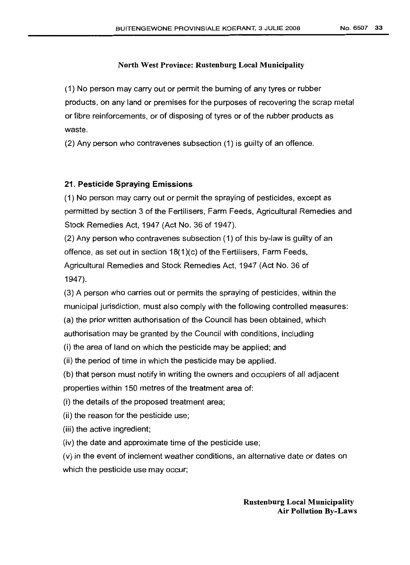(1) No person may carry out or permit the burning of any tyres or rubber products, on any land or premises for the purposes of recovering the scrap metal or fibre reinforcements, or of disposing of tyres or of the rubber products as waste.

(2) Any person who contravenes subsection (1) is guilty of an offence.

### 21. Pesticide Spraying Emissions

(1) No person may carry out or permit the spraying of pesticides, except as permitted by section 3 of the Fertilisers, Farm Feeds, Agricultural Remedies and Stock Remedies Act, 1947 (Act No. 36 of 1947).

(2) Any person who contravenes subsection (1) of this by-law is guilty of an offence, as set out in section 18(1)(c) of the Fertilisers, Farm Feeds, Agricultural Remedies and Stock Remedies Act, 1947 (Act No. 36 of 1947).

(3) A person who carries out or permits the spraying of pesticides, within the municipal jurisdiction, must also comply with the following controlled measures:

(a) the prior written authorisation of the Council has been obtained, which

authorisation may be granted by the Council with conditions, including

(i) the area of land on which the pesticide may be applied; and

(ii) the period of time in which the pesticide may be applied.

(b) that person must notify in writing the owners and occupiers of all adjacent properties within 150 metres of the treatment area of:

(i) the details of the proposed treatment area;

(ii) the reason for the pesticide use;

(iii) the active ingredient;

(iv) the date and approximate time of the pesticide use;

(v) in the event of inclement weather conditions, an alternative date or dates on which the pesticide use may occur;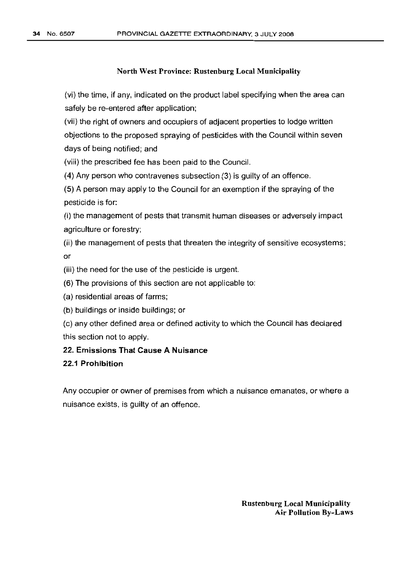(vi) the time, if any, indicated on the product label specifying when the area can safely be re-entered after application;

(vii) the right of owners and occupiers of adjacent properties to lodge written objections to the proposed spraying of pesticides with the Council within seven days of being notified; and

(viii) the prescribed fee has been paid to the Council.

(4) Any person who contravenes subsection (3) is guilty of an offence.

(5) A person may apply to the Council for an exemption if the spraying of the pesticide is for:

(i) the management of pests that transmit human diseases or adversely impact agriculture or forestry;

(ii) the management of pests that threaten the integrity of sensitive ecosystems; or

(iii) the need for the use of the pesticide is urgent.

(6) The provisions of this section are not applicable to:

(a) residential areas of farms;

(b) buildings or inside buildings; or

(c) any other defined area or defined activity to which the Council has declared this section not to apply.

# 22. Emissions That Cause A Nuisance

### 22.1 Prohibition

Any occupier or owner of premises from which a nuisance emanates, or where a nuisance exists, is guilty of an offence.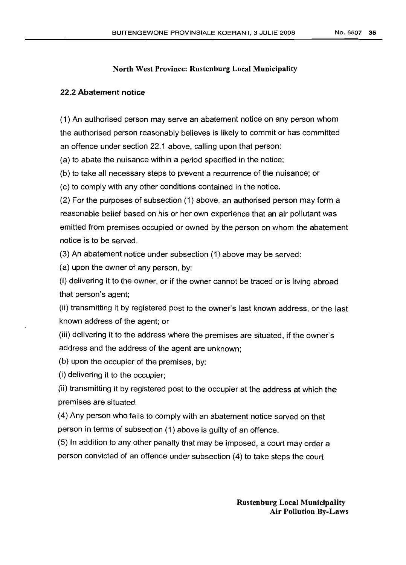### 22.2 Abatement notice

(1) An authorised person may serve an abatement notice on any person whom the authorised person reasonably believes is likely to commit or has committed an offence under section 22.1 above, calling upon that person:

(a) to abate the nuisance within a period specified in the notice;

(b) to take all necessary steps to prevent a recurrence of the nuisance; or

(c) to comply with any other conditions contained in the notice.

(2) For the purposes of subsection (1) above, an authorised person may form a reasonable belief based on his or her own experience that an air pollutant was emitted from premises occupied or owned by the person on whom the abatement notice is to be served.

(3) An abatement notice under subsection (1) above may be served:

(a) upon the owner of any person, by:

(i) delivering it to the owner, or if the owner cannot be traced or is living abroad that person's agent;

(ii) transmitting it by registered post to the owner's last known address, or the last known address of the agent; or

(iii) delivering it to the address where the premises are situated, if the owner's address and the address of the agent are unknown;

(b) upon the occupier of the premises, by:

(i) delivering it to the occupier;

(ii) transmitting it by registered post to the occupier at the address at which the premises are situated.

(4) Any person who fails to comply with an abatement notice served on that person in terms of subsection (1) above is guilty of an offence.

(5) In addition to any other penalty that may be imposed, a court may order a person convicted of an offence under subsection (4) to take steps the court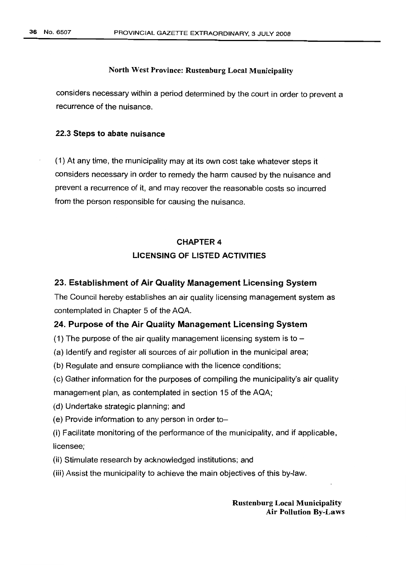considers necessary within a period determined by the court in order to prevent a recurrence of the nuisance.

### 22.3 Steps to abate nuisance

(1) At any time, the municipality may at its own cost take whatever steps it considers necessary in order to remedy the harm caused by the nuisance and prevent a recurrence of it, and may recover the reasonable costs so incurred from the person responsible for causing the nuisance.

# CHAPTER 4 LICENSING OF LISTED ACTIVITIES

### 23. Establishment of Air Quality Management Licensing System

The Council hereby establishes an air quality licensing management system as contemplated in Chapter 5 of the AQA.

### 24. Purpose of the Air Quality Management Licensing System

(1) The purpose of the air quality management licensing system is to  $-$ 

(a) Identify and register all sources of air pollution in the municipal area;

(b) Regulate and ensure compliance with the licence conditions;

- (c) Gather information for the purposes of compiling the municipality's air quality management plan, as contemplated in section 15 of the AQA;
- (d) Undertake strategic planning; and
- (e) Provide information to any person in order to-
- (i) Facilitate monitoring of the performance of the municipality, and if applicable, licensee;
- (ii) Stimulate research by acknowledged institutions; and
- (iii) Assist the municipality to achieve the main objectives of this by-law.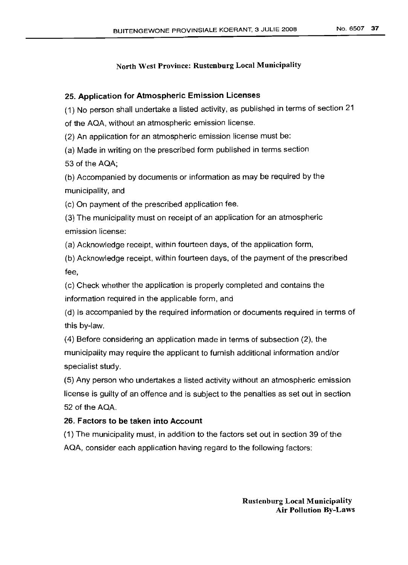## 25. Application for Atmospheric Emission Licenses

(1) No person shall undertake a listed activity, as published in terms of section 21

of the AQA, without an atmospheric emission license.

(2) An application for an atmospheric emission license must be:

(a) Made in writing on the prescribed form published in terms section

53 of the AQA;

(b) Accompanied by documents or information as may be required by the municipality, and

(c) On payment of the prescribed application fee.

(3) The municipality must on receipt of an application for an atmospheric emission license:

(a) Acknowledge receipt, within fourteen days, of the application form,

(b) Acknowledge receipt, within fourteen days, of the payment of the prescribed fee,

(c) Check whether the application is properly completed and contains the information required in the applicable form, and

(d) Is accompanied by the required information or documents required in terms of this by-law.

(4) Before considering an application made in terms of subsection (2), the municipality may require the applicant to furnish additional information and/or specialist study.

(5) Any person who undertakes a listed activity without an atmospheric emission license is guilty of an offence and is subject to the penalties as set out in section 52 of the AQA.

# 26. Factors to be taken into Account

(1) The municipality must, in addition to the factors set out in section 39 of the AQA, consider each application having regard to the following factors: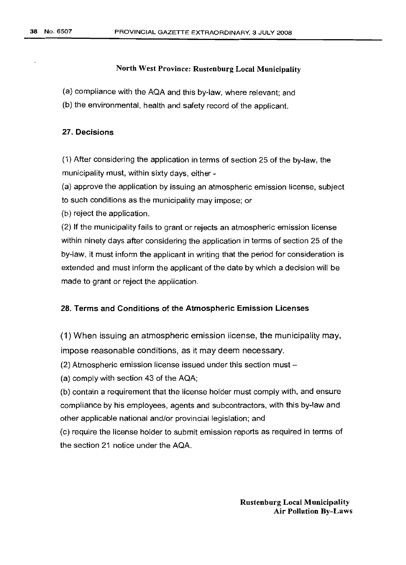(a) compliance with the AQA and this by-law, where relevant; and

(b) the environmental, health and safety record of the applicant.

### 27. Decisions

(1) After considering the application in terms of section 25 of the by-law, the municipality must, within sixty days, either -

(a) approve the application by issuing an atmospheric emission license, subject to such conditions as the municipality may impose; or

(b) reject the application.

(2) If the municipality fails to grant or rejects an atmospheric emission license within ninety days after considering the application in terms of section 25 of the by-law, it must inform the applicant in writing that the period for consideration is extended and must inform the applicant of the date by which a decision will be made to grant or reject the application.

### 28. Terms and Conditions of the Atmospheric Emission Licenses

(1) When issuing an atmospheric emission license, the municipality may, impose reasonable conditions, as it may deem necessary.

 $(2)$  Atmospheric emission license issued under this section must  $-$ 

(a) comply with section 43 of the AQA;

(b) contain a requirement that the license holder must comply with, and ensure compliance by his employees, agents and subcontractors, with this by-law and other applicable national and/or provincial legislation; and

(c) require the license holder to submit emission reports as required in terms of the section 21 notice under the AQA.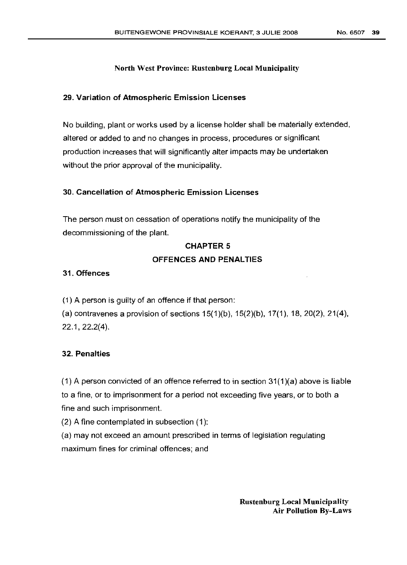### 29. Variation of Atmospheric Emission Licenses

No building, plant or works used by a license holder shall be materially extended, altered or added to and no changes in process, procedures or significant production increases that will significantly alter impacts may be undertaken without the prior approval of the municipality.

### 30. Cancellation of Atmospheric Emission Licenses

The person must on cessation of operations notify the municipality of the decommissioning of the plant.

#### CHAPTER 5

### OFFENCES AND PENALTIES

### 31. Offences

(1) A person is guilty of an offence if that person:

(a) contravenes a provision of sections  $15(1)(b)$ ,  $15(2)(b)$ ,  $17(1)$ ,  $18$ ,  $20(2)$ ,  $21(4)$ , 22.1,22.2(4).

## 32. Penalties

(1) A person convicted of an offence referred to in section 31(1)(a) above is liable to a fine, or to imprisonment for a period not exceeding five years, or to both a fine and such imprisonment.

(2) A fine contemplated in subsection (1):

(a) may not exceed an amount prescribed in terms of legislation regulating maximum fines for criminal offences; and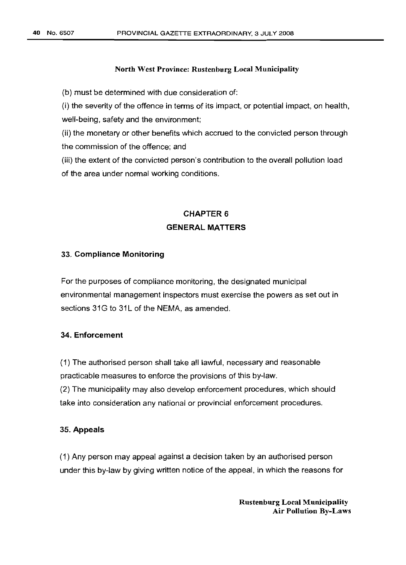(b) must be determined with due consideration of:

(i) the severity of the offence in terms of its impact, or potential impact, on health, well-being, safety and the environment;

(ii) the monetary or other benefits which accrued to the convicted person through the commission of the offence; and

(iii) the extent of the convicted person's contribution to the overall pollution load of the area under normal working conditions.

# CHAPTER 6 GENERAL MATTERS

### 33. Compliance Monitoring

For the purposes of compliance monitoring, the designated municipal environmental management inspectors must exercise the powers as set out in sections 31G to 31L of the NEMA, as amended.

# 34. Enforcement

(1) The authorised person shall take all lawful, necessary and reasonable practicable measures to enforce the provisions of this by-law. (2) The municipality may also develop enforcement procedures, which should take into consideration any national or provincial enforcement procedures.

#### 35. Appeals

(1) Any person may appeal against a decision taken by an authorised person under this by-law by giving written notice of the appeal, in which the reasons for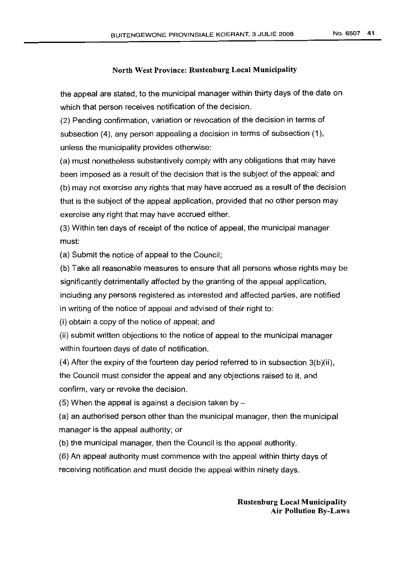the appeal are stated, to the municipal manager within thirty days of the date on which that person receives notification of the decision.

(2) Pending confirmation, variation or revocation of the decision in terms of subsection (4), any person appealing a decision in terms of subsection (1), unless the municipality provides otherwise:

(a) must nonetheless substantively comply with any obligations that may have been imposed as a result of the decision that is the subject of the appeal; and (b) may not exercise any rights that may have accrued as a result of the decision that is the subject of the appeal application, provided that no other person may

(3) Within ten days of receipt of the notice of appeal, the municipal manager must:

(a) Submit the notice of appeal to the Council;

exercise any right that may have accrued either.

(b) Take all reasonable measures to ensure that all persons whose rights may be significantly detrimentally affected by the granting of the appeal application, including any persons registered as interested and affected parties, are notified in writing of the notice of appeal and advised of their right to:

(i) obtain a copy of the notice of appeal; and

(ii) submit written objections to the notice of appeal to the municipal manager within fourteen days of date of notification.

(4) After the expiry of the fourteen day period referred to in subsection 3(b)(ii), the Council must consider the appeal and any objections raised to it, and confirm, vary or revoke the decision.

(5) When the appeal is against a decision taken by  $-$ 

(a) an authorised person other than the municipal manager, then the municipal manager is the appeal authority; or

(b) the municipal manager, then the Council is the appeal authority.

(6) An appeal authority must commence with the appeal within thirty days of receiving notification and must decide the appeal within ninety days.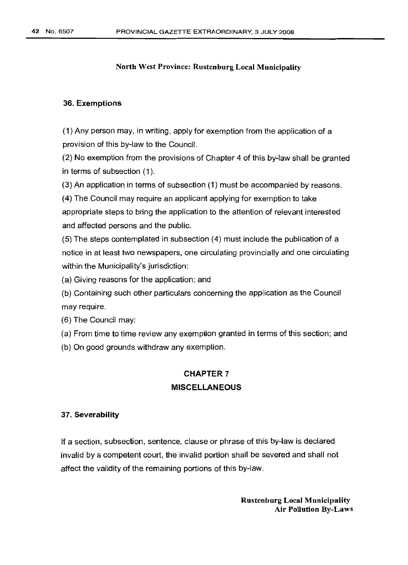### 36. Exemptions

(1) Any person may, in writing, apply for exemption from the application of a provision of this by-law to the Council.

(2) No exemption from the provisions of Chapter 4 of this by-law shall be granted in terms of subsection (1).

(3) An application in terms of subsection (1) must be accompanied by reasons.

(4) The Council may require an applicant applying for exemption to take appropriate steps to bring the application to the attention of relevant interested and affected persons and the public.

(5) The steps contemplated in subsection (4) must include the publication of a notice in at least two newspapers, one circulating provincially and one circulating within the Municipality's jurisdiction:

(a) Giving reasons for the application; and

(b) Containing such other particulars concerning the application as the Council may require.

(6) The Council may:

(a) From time to time review any exemption granted in terms of this section; and

(b) On good grounds withdraw any exemption.

# CHAPTER 7 MISCELLANEOUS

#### 37. Severability

If a section, subsection, sentence, clause or phrase of this by-law is declared invalid by a competent court, the invalid portion shall be severed and shall not affect the validity of the remaining portions of this by-law.